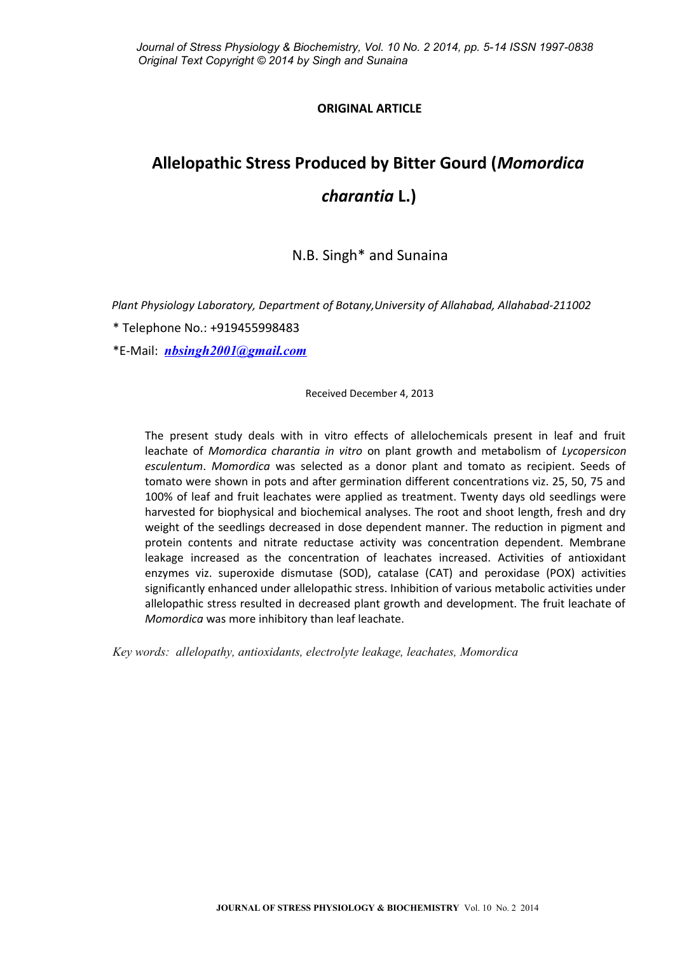# **ORIGINAL ARTICLE**

# **Allelopathic Stress Produced by Bitter Gourd (***Momordica charantia* **L.)**

N.B. Singh\* and Sunaina

*Plant Physiology Laboratory, Department of Botany,University of Allahabad, Allahabad-211002*

\* Telephone No.: +919455998483

\*E-Mail: *[nbsingh2001@gmail.com](mailto:nbsingh2001@gmail.com)*

Received December 4, 2013

The present study deals with in vitro effects of allelochemicals present in leaf and fruit leachate of *Momordica charantia in vitro* on plant growth and metabolism of *Lycopersicon esculentum*. *Momordica* was selected as a donor plant and tomato as recipient. Seeds of tomato were shown in pots and after germination different concentrations viz. 25, 50, 75 and 100% of leaf and fruit leachates were applied as treatment. Twenty days old seedlings were harvested for biophysical and biochemical analyses. The root and shoot length, fresh and dry weight of the seedlings decreased in dose dependent manner. The reduction in pigment and protein contents and nitrate reductase activity was concentration dependent. Membrane leakage increased as the concentration of leachates increased. Activities of antioxidant enzymes viz. superoxide dismutase (SOD), catalase (CAT) and peroxidase (POX) activities significantly enhanced under allelopathic stress. Inhibition of various metabolic activities under allelopathic stress resulted in decreased plant growth and development. The fruit leachate of *Momordica* was more inhibitory than leaf leachate.

*Key words: allelopathy, antioxidants, electrolyte leakage, leachates, Momordica*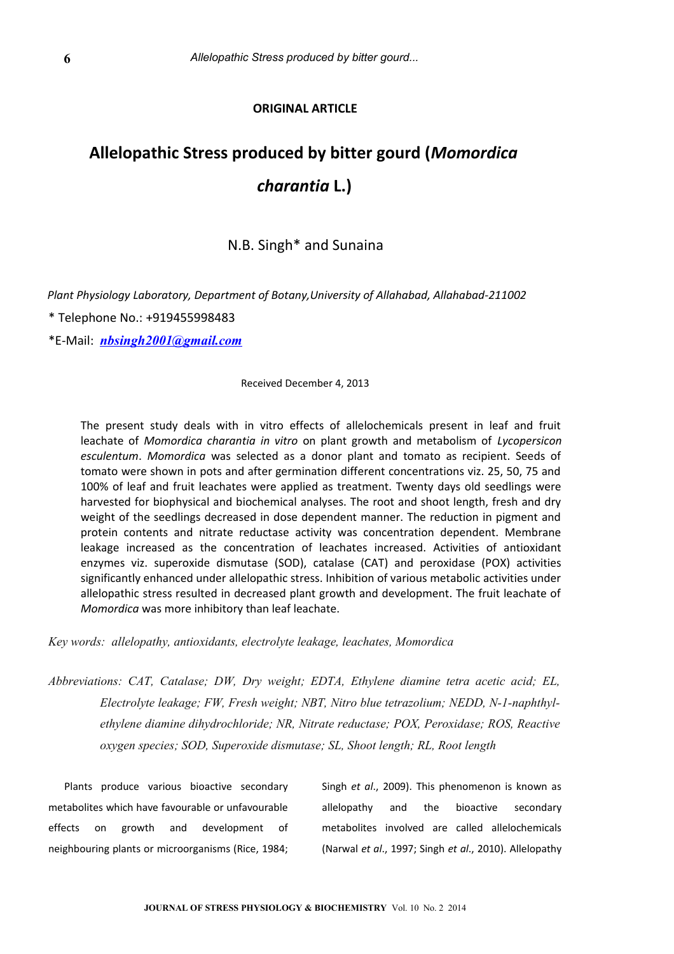# **ORIGINAL ARTICLE**

# **Allelopathic Stress produced by bitter gourd (***Momordica charantia* **L.)**

# N.B. Singh\* and Sunaina

*Plant Physiology Laboratory, Department of Botany,University of Allahabad, Allahabad-211002*

\* Telephone No.: +919455998483

\*E-Mail: *[nbsingh2001@gmail.com](mailto:nbsingh2001@gmail.com)*

Received December 4, 2013

The present study deals with in vitro effects of allelochemicals present in leaf and fruit leachate of *Momordica charantia in vitro* on plant growth and metabolism of *Lycopersicon esculentum*. *Momordica* was selected as a donor plant and tomato as recipient. Seeds of tomato were shown in pots and after germination different concentrations viz. 25, 50, 75 and 100% of leaf and fruit leachates were applied as treatment. Twenty days old seedlings were harvested for biophysical and biochemical analyses. The root and shoot length, fresh and dry weight of the seedlings decreased in dose dependent manner. The reduction in pigment and protein contents and nitrate reductase activity was concentration dependent. Membrane leakage increased as the concentration of leachates increased. Activities of antioxidant enzymes viz. superoxide dismutase (SOD), catalase (CAT) and peroxidase (POX) activities significantly enhanced under allelopathic stress. Inhibition of various metabolic activities under allelopathic stress resulted in decreased plant growth and development. The fruit leachate of *Momordica* was more inhibitory than leaf leachate.

*Key words: allelopathy, antioxidants, electrolyte leakage, leachates, Momordica*

*Abbreviations: CAT, Catalase; DW, Dry weight; EDTA, Ethylene diamine tetra acetic acid; EL, Electrolyte leakage; FW, Fresh weight; NBT, Nitro blue tetrazolium; NEDD, N-1-naphthylethylene diamine dihydrochloride; NR, Nitrate reductase; POX, Peroxidase; ROS, Reactive oxygen species; SOD, Superoxide dismutase; SL, Shoot length; RL, Root length*

Plants produce various bioactive secondary metabolites which have favourable or unfavourable effects on growth and development of neighbouring plants or microorganisms (Rice, 1984;

Singh *et al*., 2009). This phenomenon is known as allelopathy and the bioactive secondary metabolites involved are called allelochemicals (Narwal *et al*., 1997; Singh *et al*., 2010). Allelopathy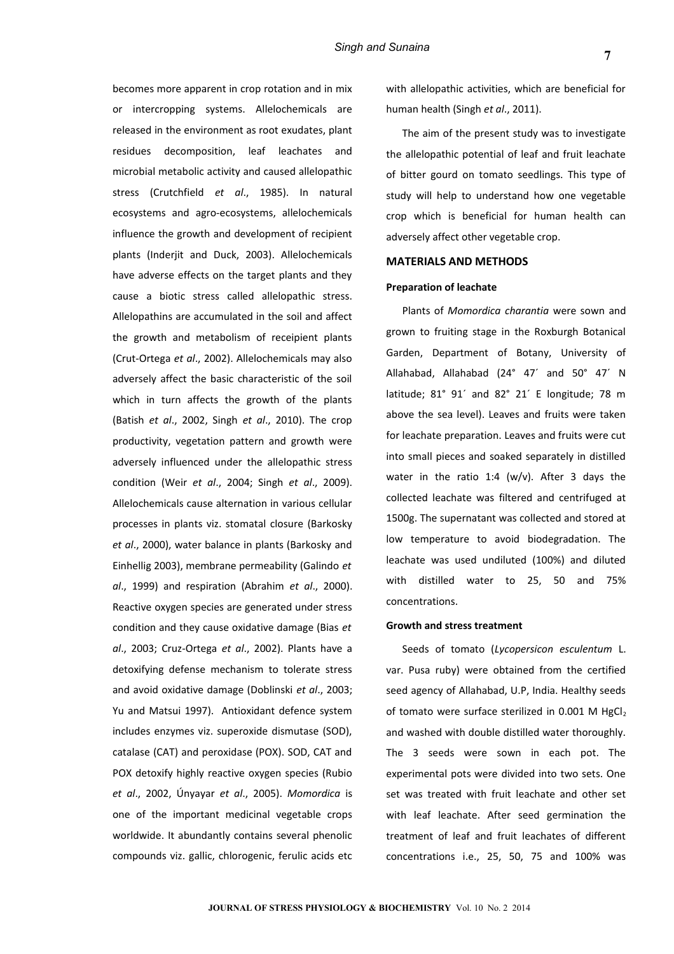becomes more apparent in crop rotation and in mix or intercropping systems. Allelochemicals are released in the environment as root exudates, plant residues decomposition, leaf leachates and microbial metabolic activity and caused allelopathic stress (Crutchfield *et al*., 1985). In natural ecosystems and agro-ecosystems, allelochemicals influence the growth and development of recipient plants (Inderjit and Duck, 2003). Allelochemicals have adverse effects on the target plants and they cause a biotic stress called allelopathic stress. Allelopathins are accumulated in the soil and affect the growth and metabolism of receipient plants (Crut-Ortega *et al*., 2002). Allelochemicals may also adversely affect the basic characteristic of the soil which in turn affects the growth of the plants (Batish *et al*., 2002, Singh *et al*., 2010). The crop productivity, vegetation pattern and growth were adversely influenced under the allelopathic stress condition (Weir *et al*., 2004; Singh *et al*., 2009). Allelochemicals cause alternation in various cellular processes in plants viz. stomatal closure (Barkosky *et al*., 2000), water balance in plants (Barkosky and Einhellig 2003), membrane permeability (Galindo *et al*., 1999) and respiration (Abrahim *et al*., 2000). Reactive oxygen species are generated under stress condition and they cause oxidative damage (Bias *et al*., 2003; Cruz-Ortega *et al*., 2002). Plants have a detoxifying defense mechanism to tolerate stress and avoid oxidative damage (Doblinski *et al*., 2003; Yu and Matsui 1997). Antioxidant defence system includes enzymes viz. superoxide dismutase (SOD), catalase (CAT) and peroxidase (POX). SOD, CAT and POX detoxify highly reactive oxygen species (Rubio *et al*., 2002, Únyayar *et al*., 2005). *Momordica* is one of the important medicinal vegetable crops worldwide. It abundantly contains several phenolic compounds viz. gallic, chlorogenic, ferulic acids etc

with allelopathic activities, which are beneficial for human health (Singh *et al*., 2011).

The aim of the present study was to investigate the allelopathic potential of leaf and fruit leachate of bitter gourd on tomato seedlings. This type of study will help to understand how one vegetable crop which is beneficial for human health can adversely affect other vegetable crop.

### **MATERIALS AND METHODS**

#### **Preparation of leachate**

Plants of *Momordica charantia* were sown and grown to fruiting stage in the Roxburgh Botanical Garden, Department of Botany, University of Allahabad, Allahabad (24° 47´ and 50° 47´ N latitude; 81° 91´ and 82° 21´ E longitude; 78 m above the sea level). Leaves and fruits were taken for leachate preparation. Leaves and fruits were cut into small pieces and soaked separately in distilled water in the ratio 1:4 (w/v). After 3 days the collected leachate was filtered and centrifuged at 1500g. The supernatant was collected and stored at low temperature to avoid biodegradation. The leachate was used undiluted (100%) and diluted with distilled water to 25, 50 and 75% concentrations.

#### **Growth and stress treatment**

Seeds of tomato (*Lycopersicon esculentum* L. var. Pusa ruby) were obtained from the certified seed agency of Allahabad, U.P, India. Healthy seeds of tomato were surface sterilized in 0.001 M HgCl<sub>2</sub> and washed with double distilled water thoroughly. The 3 seeds were sown in each pot. The experimental pots were divided into two sets. One set was treated with fruit leachate and other set with leaf leachate. After seed germination the treatment of leaf and fruit leachates of different concentrations i.e., 25, 50, 75 and 100% was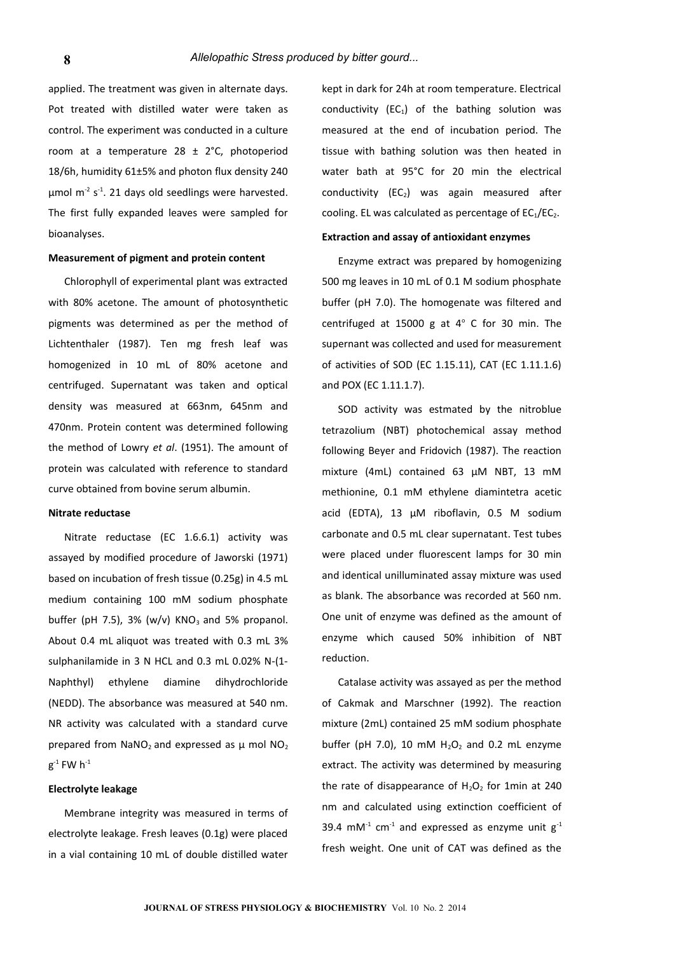applied. The treatment was given in alternate days. Pot treated with distilled water were taken as control. The experiment was conducted in a culture room at a temperature  $28 \pm 2^{\circ}$ C, photoperiod 18/6h, humidity 61±5% and photon flux density 240  $\mu$ mol m<sup>-2</sup> s<sup>-1</sup>. 21 days old seedlings were harvested. The first fully expanded leaves were sampled for bioanalyses.

#### **Measurement of pigment and protein content**

Chlorophyll of experimental plant was extracted with 80% acetone. The amount of photosynthetic pigments was determined as per the method of Lichtenthaler (1987). Ten mg fresh leaf was homogenized in 10 mL of 80% acetone and centrifuged. Supernatant was taken and optical density was measured at 663nm, 645nm and 470nm. Protein content was determined following the method of Lowry *et al*. (1951). The amount of protein was calculated with reference to standard curve obtained from bovine serum albumin.

# **Nitrate reductase**

Nitrate reductase (EC 1.6.6.1) activity was assayed by modified procedure of Jaworski (1971) based on incubation of fresh tissue (0.25g) in 4.5 mL medium containing 100 mM sodium phosphate buffer (pH 7.5),  $3\%$  (w/v) KNO<sub>3</sub> and 5% propanol. About 0.4 mL aliquot was treated with 0.3 mL 3% sulphanilamide in 3 N HCL and 0.3 mL 0.02% N-(1- Naphthyl) ethylene diamine dihydrochloride (NEDD). The absorbance was measured at 540 nm. NR activity was calculated with a standard curve prepared from  $NaNO<sub>2</sub>$  and expressed as  $\mu$  mol  $NO<sub>2</sub>$  $\mathsf{g}^{\text{-1}}$  FW  $\mathsf{h}^{\text{-1}}$ 

#### **Electrolyte leakage**

Membrane integrity was measured in terms of electrolyte leakage. Fresh leaves (0.1g) were placed in a vial containing 10 mL of double distilled water

kept in dark for 24h at room temperature. Electrical conductivity  $(EC_1)$  of the bathing solution was measured at the end of incubation period. The tissue with bathing solution was then heated in water bath at 95°C for 20 min the electrical conductivity  $(EC_2)$  was again measured after cooling. EL was calculated as percentage of  $EC_1/EC_2$ .

# **Extraction and assay of antioxidant enzymes**

Enzyme extract was prepared by homogenizing 500 mg leaves in 10 mL of 0.1 M sodium phosphate buffer (pH 7.0). The homogenate was filtered and centrifuged at  $15000$  g at  $4^{\circ}$  C for 30 min. The supernant was collected and used for measurement of activities of SOD (EC 1.15.11), CAT (EC 1.11.1.6) and POX (EC 1.11.1.7).

SOD activity was estmated by the nitroblue tetrazolium (NBT) photochemical assay method following Beyer and Fridovich (1987). The reaction mixture (4mL) contained 63 µM NBT, 13 mM methionine, 0.1 mM ethylene diamintetra acetic acid (EDTA), 13 µM riboflavin, 0.5 M sodium carbonate and 0.5 mL clear supernatant. Test tubes were placed under fluorescent lamps for 30 min and identical unilluminated assay mixture was used as blank. The absorbance was recorded at 560 nm. One unit of enzyme was defined as the amount of enzyme which caused 50% inhibition of NBT reduction.

Catalase activity was assayed as per the method of Cakmak and Marschner (1992). The reaction mixture (2mL) contained 25 mM sodium phosphate buffer (pH 7.0), 10 mM  $H_2O_2$  and 0.2 mL enzyme extract. The activity was determined by measuring the rate of disappearance of  $H_2O_2$  for 1min at 240 nm and calculated using extinction coefficient of 39.4 mM<sup>-1</sup> cm<sup>-1</sup> and expressed as enzyme unit  $g^{-1}$ fresh weight. One unit of CAT was defined as the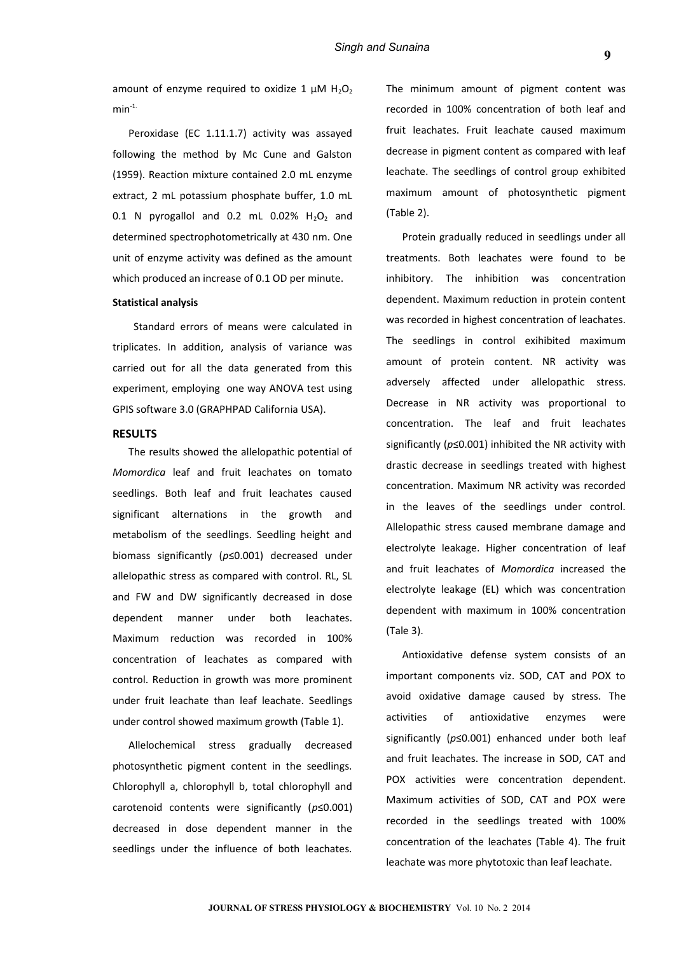amount of enzyme required to oxidize 1  $\mu$ M H<sub>2</sub>O<sub>2</sub>  $min<sup>-1</sup>$ 

Peroxidase (EC 1.11.1.7) activity was assayed following the method by Mc Cune and Galston (1959). Reaction mixture contained 2.0 mL enzyme extract, 2 mL potassium phosphate buffer, 1.0 mL 0.1 N pyrogallol and 0.2 mL 0.02%  $H_2O_2$  and determined spectrophotometrically at 430 nm. One unit of enzyme activity was defined as the amount which produced an increase of 0.1 OD per minute.

# **Statistical analysis**

 Standard errors of means were calculated in triplicates. In addition, analysis of variance was carried out for all the data generated from this experiment, employing one way ANOVA test using GPIS software 3.0 (GRAPHPAD California USA).

#### **RESULTS**

The results showed the allelopathic potential of *Momordica* leaf and fruit leachates on tomato seedlings. Both leaf and fruit leachates caused significant alternations in the growth and metabolism of the seedlings. Seedling height and biomass significantly (*p*≤0.001) decreased under allelopathic stress as compared with control. RL, SL and FW and DW significantly decreased in dose dependent manner under both leachates. Maximum reduction was recorded in 100% concentration of leachates as compared with control. Reduction in growth was more prominent under fruit leachate than leaf leachate. Seedlings under control showed maximum growth (Table 1).

Allelochemical stress gradually decreased photosynthetic pigment content in the seedlings. Chlorophyll a, chlorophyll b, total chlorophyll and carotenoid contents were significantly (*p*≤0.001) decreased in dose dependent manner in the seedlings under the influence of both leachates. The minimum amount of pigment content was recorded in 100% concentration of both leaf and fruit leachates. Fruit leachate caused maximum decrease in pigment content as compared with leaf leachate. The seedlings of control group exhibited maximum amount of photosynthetic pigment (Table 2).

Protein gradually reduced in seedlings under all treatments. Both leachates were found to be inhibitory. The inhibition was concentration dependent. Maximum reduction in protein content was recorded in highest concentration of leachates. The seedlings in control exihibited maximum amount of protein content. NR activity was adversely affected under allelopathic stress. Decrease in NR activity was proportional to concentration. The leaf and fruit leachates significantly (*p*≤0.001) inhibited the NR activity with drastic decrease in seedlings treated with highest concentration. Maximum NR activity was recorded in the leaves of the seedlings under control. Allelopathic stress caused membrane damage and electrolyte leakage. Higher concentration of leaf and fruit leachates of *Momordica* increased the electrolyte leakage (EL) which was concentration dependent with maximum in 100% concentration (Tale 3).

Antioxidative defense system consists of an important components viz. SOD, CAT and POX to avoid oxidative damage caused by stress. The activities of antioxidative enzymes were significantly (*p*≤0.001) enhanced under both leaf and fruit leachates. The increase in SOD, CAT and POX activities were concentration dependent. Maximum activities of SOD, CAT and POX were recorded in the seedlings treated with 100% concentration of the leachates (Table 4). The fruit leachate was more phytotoxic than leaf leachate.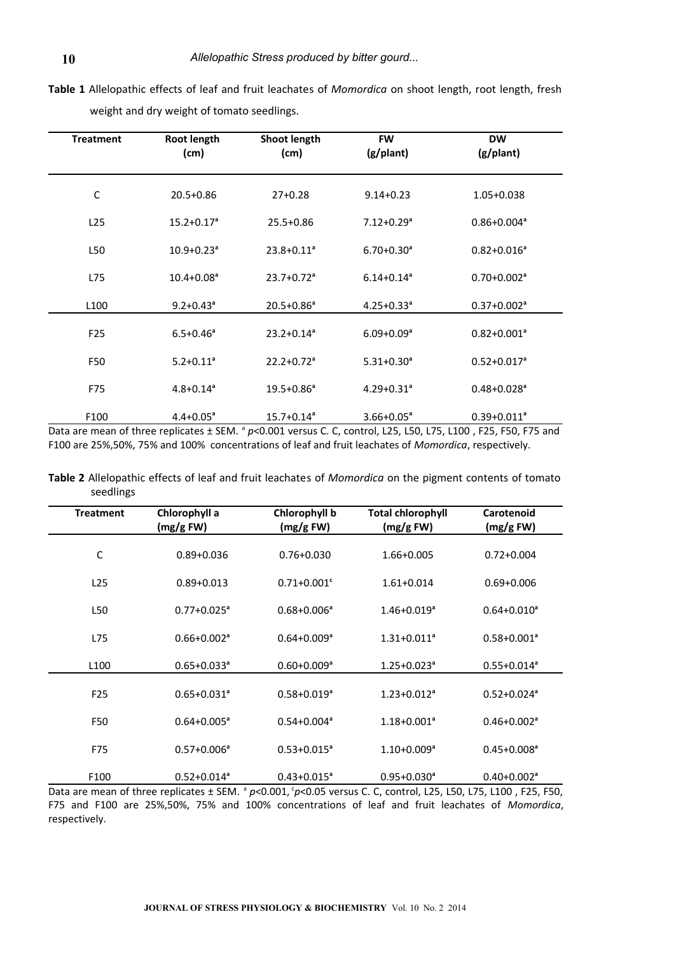| <b>Treatment</b> | Root length<br>(cm)        | Shoot length<br>(cm)       | <b>FW</b><br>(g/plant)     | <b>DW</b><br>(g/plant)      |
|------------------|----------------------------|----------------------------|----------------------------|-----------------------------|
| $\mathsf C$      | 20.5+0.86                  | $27+0.28$                  | $9.14 + 0.23$              | 1.05+0.038                  |
| L25              | $15.2 + 0.17a$             | $25.5 + 0.86$              | $7.12 + 0.29$ <sup>a</sup> | $0.86 + 0.004$ <sup>a</sup> |
| L50              | $10.9 + 0.23$ <sup>a</sup> | $23.8 + 0.11$ <sup>a</sup> | $6.70 + 0.30$ <sup>a</sup> | $0.82 + 0.016$ <sup>a</sup> |
| L75              | $10.4 + 0.08a$             | $23.7 + 0.72$ <sup>a</sup> | $6.14 + 0.14$ <sup>a</sup> | $0.70 + 0.002$ <sup>a</sup> |
| L <sub>100</sub> | $9.2 + 0.43$ <sup>a</sup>  | $20.5 + 0.86$ <sup>a</sup> | $4.25 + 0.33$ <sup>a</sup> | $0.37 + 0.002$ <sup>a</sup> |
| F <sub>25</sub>  | $6.5 + 0.46$ <sup>a</sup>  | $23.2 + 0.14a$             | $6.09 + 0.09$ <sup>a</sup> | $0.82 + 0.001$ <sup>a</sup> |
| F50              | $5.2 + 0.11$ <sup>a</sup>  | $22.2 + 0.72$ <sup>a</sup> | $5.31 + 0.30$ <sup>a</sup> | $0.52 + 0.017$ <sup>a</sup> |
| F75              | $4.8 + 0.14$ <sup>a</sup>  | $19.5 + 0.86^a$            | $4.29 + 0.31$ <sup>a</sup> | $0.48 + 0.028$ <sup>a</sup> |
| F100             | $4.4 + 0.05^a$             | $15.7 + 0.14$ <sup>a</sup> | $3.66 + 0.05^a$            | $0.39 + 0.011$ <sup>a</sup> |

**Table 1** Allelopathic effects of leaf and fruit leachates of *Momordica* on shoot length, root length, fresh weight and dry weight of tomato seedlings.

Data are mean of three replicates ± SEM. <sup>a</sup> p<0.001 versus C. C, control, L25, L50, L75, L100, F25, F50, F75 and F100 are 25%,50%, 75% and 100% concentrations of leaf and fruit leachates of *Momordica*, respectively.

**Table 2** Allelopathic effects of leaf and fruit leachates of *Momordica* on the pigment contents of tomato seedlings

| <b>Treatment</b> | Chlorophyll a<br>(mg/g FW)  | Chlorophyll b<br>(mg/g FW)  | <b>Total chlorophyll</b><br>(mg/g FW) | Carotenoid<br>(mg/g FW)     |
|------------------|-----------------------------|-----------------------------|---------------------------------------|-----------------------------|
| C                | $0.89 + 0.036$              | $0.76 + 0.030$              | 1.66+0.005                            | $0.72 + 0.004$              |
| L25              | $0.89 + 0.013$              | $0.71 + 0.001$ <sup>c</sup> | $1.61 + 0.014$                        | $0.69 + 0.006$              |
| L50              | $0.77 + 0.025$ <sup>a</sup> | $0.68 + 0.006$ <sup>a</sup> | $1.46 + 0.019$ <sup>a</sup>           | $0.64 + 0.010$ <sup>a</sup> |
| L75              | $0.66 + 0.002$ <sup>a</sup> | $0.64 + 0.009$ <sup>a</sup> | $1.31 + 0.011$ <sup>a</sup>           | $0.58 + 0.001$ <sup>a</sup> |
| L <sub>100</sub> | $0.65 + 0.033$ <sup>a</sup> | $0.60 + 0.009$ <sup>a</sup> | $1.25 + 0.023$ <sup>a</sup>           | $0.55 + 0.014$ <sup>a</sup> |
| F <sub>25</sub>  | $0.65 + 0.031$ <sup>a</sup> | $0.58 + 0.019$ <sup>a</sup> | $1.23 + 0.012$ <sup>a</sup>           | $0.52 + 0.024$ <sup>a</sup> |
| F50              | $0.64 + 0.005^a$            | $0.54 + 0.004$ <sup>a</sup> | $1.18 + 0.001$ <sup>a</sup>           | $0.46 + 0.002$ <sup>a</sup> |
| F75              | $0.57 + 0.006^a$            | $0.53 + 0.015^a$            | $1.10+0.009^a$                        | $0.45 + 0.008a$             |
| F100             | $0.52 + 0.014$ <sup>a</sup> | $0.43 + 0.015$ <sup>a</sup> | $0.95 + 0.030$ <sup>a</sup>           | $0.40 + 0.002$ <sup>a</sup> |

F75 and F100 are 25%,50%, 75% and 100% concentrations of leaf and fruit leachates of *Momordica*, respectively.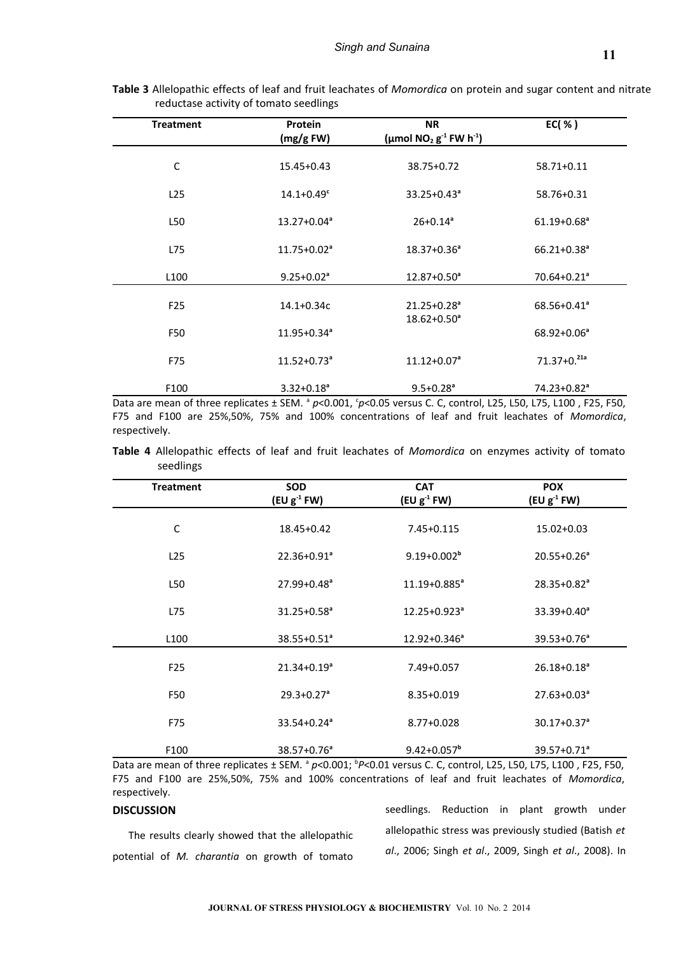| <b>Treatment</b> | Protein<br>(mg/gFW)         | <b>NR</b><br>(µmol NO <sub>2</sub> $g^{-1}$ FW h <sup>-1</sup> ) | EC( % )                     |
|------------------|-----------------------------|------------------------------------------------------------------|-----------------------------|
| C                | $15.45 + 0.43$              | 38.75+0.72                                                       | 58.71+0.11                  |
| L25              | $14.1 + 0.49$ <sup>c</sup>  | $33.25 + 0.43^a$                                                 | 58.76+0.31                  |
| L50              | $13.27 + 0.04$ <sup>a</sup> | $26+0.14^a$                                                      | $61.19 + 0.68$ <sup>a</sup> |
| L75              | $11.75 + 0.02$ <sup>a</sup> | $18.37 + 0.36$ <sup>a</sup>                                      | $66.21 + 0.38$ <sup>a</sup> |
| L <sub>100</sub> | $9.25 + 0.02^a$             | $12.87 + 0.50$ <sup>a</sup>                                      | $70.64 + 0.21$ <sup>a</sup> |
| F <sub>25</sub>  | 14.1+0.34c                  | $21.25 + 0.28$ <sup>a</sup><br>$18.62 + 0.50$ <sup>a</sup>       | $68.56 + 0.41$ <sup>a</sup> |
| F50              | $11.95 + 0.34$ <sup>a</sup> |                                                                  | $68.92 + 0.06^a$            |
| F75              | $11.52 + 0.73$ <sup>a</sup> | $11.12 + 0.07$ <sup>a</sup>                                      | $71.37+0.21a$               |
| F100             | $3.32 + 0.18a$              | $9.5 + 0.28$ <sup>a</sup>                                        | 74.23+0.82 <sup>a</sup>     |

**Table 3** Allelopathic effects of leaf and fruit leachates of *Momordica* on protein and sugar content and nitrate reductase activity of tomato seedlings

Data are mean of three replicates ± SEM. <sup>a</sup> p<0.001, <sup>c</sup>p<0.05 versus C. C, control, L25, L50, L75, L100, F25, F50, F75 and F100 are 25%,50%, 75% and 100% concentrations of leaf and fruit leachates of *Momordica*, respectively.

**Table 4** Allelopathic effects of leaf and fruit leachates of *Momordica* on enzymes activity of tomato seedlings

| <b>Treatment</b> | <b>SOD</b><br>$(EU g-1 FW)$ | <b>CAT</b><br>$(EU g-1 FW)$  | <b>POX</b><br>$(EU g-1 FW)$ |
|------------------|-----------------------------|------------------------------|-----------------------------|
| $\mathsf C$      | 18.45+0.42                  | 7.45+0.115                   | $15.02 + 0.03$              |
| L25              | $22.36 + 0.91$ <sup>a</sup> | $9.19 + 0.002^b$             | $20.55 + 0.26$ <sup>a</sup> |
| L50              | $27.99 + 0.48$ <sup>a</sup> | $11.19 + 0.885$ <sup>a</sup> | $28.35 + 0.82$ <sup>a</sup> |
| L75              | $31.25 + 0.58$ <sup>a</sup> | $12.25 + 0.923$ <sup>a</sup> | $33.39 + 0.40^a$            |
| L <sub>100</sub> | $38.55 + 0.51$ <sup>a</sup> | $12.92 + 0.346^a$            | $39.53 + 0.76^a$            |
| F <sub>25</sub>  | $21.34 + 0.19a$             | 7.49+0.057                   | $26.18 + 0.18$ <sup>a</sup> |
| F50              | $29.3 + 0.27$ <sup>a</sup>  | $8.35 + 0.019$               | $27.63 + 0.03a$             |
| F75              | $33.54 + 0.24$ <sup>a</sup> | $8.77 + 0.028$               | $30.17 + 0.37$ <sup>a</sup> |
| F <sub>100</sub> | $38.57 + 0.76$ <sup>a</sup> | $9.42 + 0.057$ <sup>b</sup>  | $39.57 + 0.71$ <sup>a</sup> |

Data are mean of three replicates ± SEM. <sup>a</sup> p<0.001; <sup>b</sup>P<0.01 versus C. C, control, L25, L50, L75, L100, F25, F50, F75 and F100 are 25%,50%, 75% and 100% concentrations of leaf and fruit leachates of *Momordica*, respectively.

#### **DISCUSSION**

The results clearly showed that the allelopathic potential of *M. charantia* on growth of tomato seedlings. Reduction in plant growth under allelopathic stress was previously studied (Batish *et al*., 2006; Singh *et al*., 2009, Singh *et al*., 2008). In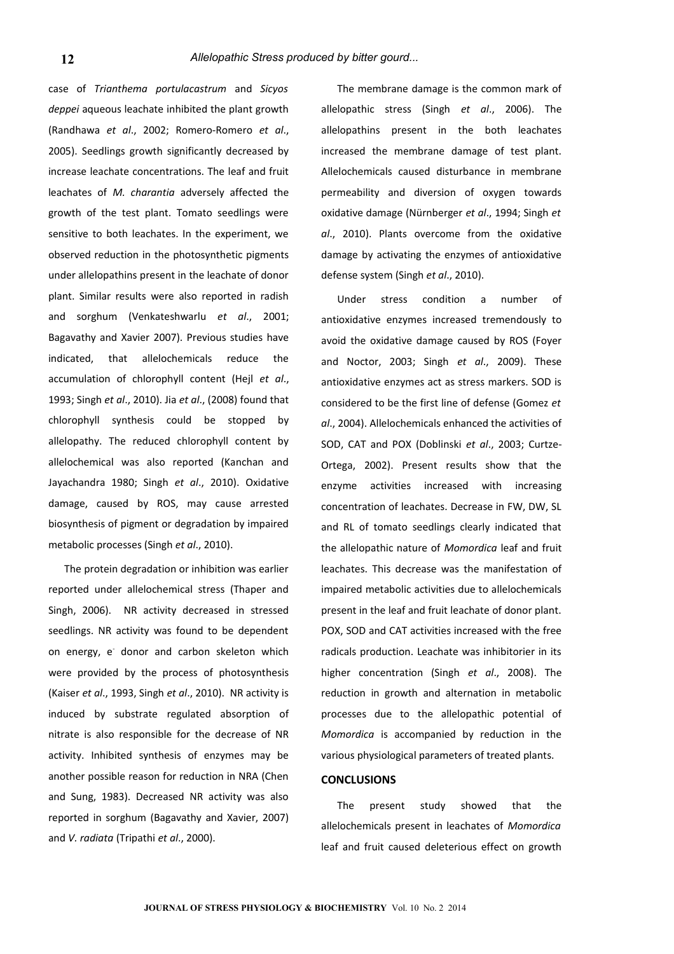case of *Trianthema portulacastrum* and *Sicyos deppei* aqueous leachate inhibited the plant growth (Randhawa *et al*., 2002; Romero-Romero *et al*., 2005). Seedlings growth significantly decreased by increase leachate concentrations. The leaf and fruit leachates of *M. charantia* adversely affected the growth of the test plant. Tomato seedlings were sensitive to both leachates. In the experiment, we observed reduction in the photosynthetic pigments under allelopathins present in the leachate of donor plant. Similar results were also reported in radish and sorghum (Venkateshwarlu *et al*., 2001; Bagavathy and Xavier 2007). Previous studies have indicated, that allelochemicals reduce the accumulation of chlorophyll content (Hejl *et al*., 1993; Singh *et al*., 2010). Jia *et al*., (2008) found that chlorophyll synthesis could be stopped by allelopathy. The reduced chlorophyll content by allelochemical was also reported (Kanchan and Jayachandra 1980; Singh *et al*., 2010). Oxidative damage, caused by ROS, may cause arrested biosynthesis of pigment or degradation by impaired metabolic processes (Singh *et al*., 2010).

The protein degradation or inhibition was earlier reported under allelochemical stress (Thaper and Singh, 2006). NR activity decreased in stressed seedlings. NR activity was found to be dependent on energy, e donor and carbon skeleton which were provided by the process of photosynthesis (Kaiser *et al*., 1993, Singh *et al*., 2010). NR activity is induced by substrate regulated absorption of nitrate is also responsible for the decrease of NR activity. Inhibited synthesis of enzymes may be another possible reason for reduction in NRA (Chen and Sung, 1983). Decreased NR activity was also reported in sorghum (Bagavathy and Xavier, 2007) and *V. radiata* (Tripathi *et al*., 2000).

The membrane damage is the common mark of allelopathic stress (Singh *et al*., 2006). The allelopathins present in the both leachates increased the membrane damage of test plant. Allelochemicals caused disturbance in membrane permeability and diversion of oxygen towards oxidative damage (Nürnberger *et al*., 1994; Singh *et al*., 2010). Plants overcome from the oxidative damage by activating the enzymes of antioxidative defense system (Singh *et al*., 2010).

Under stress condition a number of antioxidative enzymes increased tremendously to avoid the oxidative damage caused by ROS (Foyer and Noctor, 2003; Singh *et al*., 2009). These antioxidative enzymes act as stress markers. SOD is considered to be the first line of defense (Gomez *et al*., 2004). Allelochemicals enhanced the activities of SOD, CAT and POX (Doblinski *et al*., 2003; Curtze-Ortega, 2002). Present results show that the enzyme activities increased with increasing concentration of leachates. Decrease in FW, DW, SL and RL of tomato seedlings clearly indicated that the allelopathic nature of *Momordica* leaf and fruit leachates. This decrease was the manifestation of impaired metabolic activities due to allelochemicals present in the leaf and fruit leachate of donor plant. POX, SOD and CAT activities increased with the free radicals production. Leachate was inhibitorier in its higher concentration (Singh *et al*., 2008). The reduction in growth and alternation in metabolic processes due to the allelopathic potential of *Momordica* is accompanied by reduction in the various physiological parameters of treated plants.

#### **CONCLUSIONS**

The present study showed that the allelochemicals present in leachates of *Momordica* leaf and fruit caused deleterious effect on growth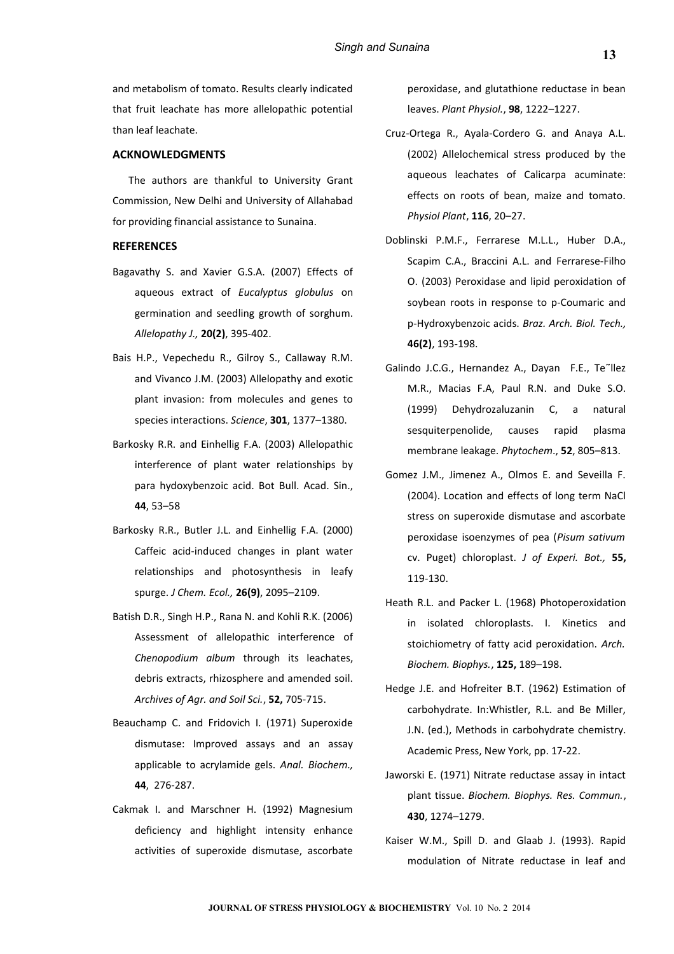and metabolism of tomato. Results clearly indicated that fruit leachate has more allelopathic potential than leaf leachate.

# **ACKNOWLEDGMENTS**

The authors are thankful to University Grant Commission, New Delhi and University of Allahabad for providing financial assistance to Sunaina.

# **REFERENCES**

- Bagavathy S. and Xavier G.S.A. (2007) Effects of aqueous extract of *Eucalyptus globulus* on germination and seedling growth of sorghum. *Allelopathy J.,* **20(2)**, 395-402.
- Bais H.P., Vepechedu R., Gilroy S., Callaway R.M. and Vivanco J.M. (2003) Allelopathy and exotic plant invasion: from molecules and genes to species interactions. *Science*, **301**, 1377–1380.
- Barkosky R.R. and Einhellig F.A. (2003) Allelopathic interference of plant water relationships by para hydoxybenzoic acid. Bot Bull. Acad. Sin., **44**, 53–58
- Barkosky R.R., Butler J.L. and Einhellig F.A. (2000) Caffeic acid-induced changes in plant water relationships and photosynthesis in leafy spurge. *J Chem. Ecol.,* **26(9)**, 2095–2109.
- Batish D.R., Singh H.P., Rana N. and Kohli R.K. (2006) Assessment of allelopathic interference of *Chenopodium album* through its leachates, debris extracts, rhizosphere and amended soil. *Archives of Agr. and Soil Sci.*, **52,** 705-715.
- Beauchamp C. and Fridovich I. (1971) Superoxide dismutase: Improved assays and an assay applicable to acrylamide gels. *Anal. Biochem.,* **44**, 276-287.
- Cakmak I. and Marschner H. (1992) Magnesium deficiency and highlight intensity enhance activities of superoxide dismutase, ascorbate

peroxidase, and glutathione reductase in bean leaves. *Plant Physiol.*, **98**, 1222–1227.

- Cruz-Ortega R., Ayala-Cordero G. and Anaya A.L. (2002) Allelochemical stress produced by the aqueous leachates of Calicarpa acuminate: effects on roots of bean, maize and tomato. *Physiol Plant*, **116**, 20–27.
- Doblinski P.M.F., Ferrarese M.L.L., Huber D.A., Scapim C.A., Braccini A.L. and Ferrarese-Filho O. (2003) Peroxidase and lipid peroxidation of soybean roots in response to p-Coumaric and p-Hydroxybenzoic acids. *Braz. Arch. Biol. Tech.,* **46(2)**, 193-198.
- Galindo J.C.G., Hernandez A., Dayan F.E., Te~llez M.R., Macias F.A, Paul R.N. and Duke S.O. (1999) Dehydrozaluzanin C, a natural sesquiterpenolide, causes rapid plasma membrane leakage. *Phytochem*., **52**, 805–813.
- Gomez J.M., Jimenez A., Olmos E. and Seveilla F. (2004). Location and effects of long term NaCl stress on superoxide dismutase and ascorbate peroxidase isoenzymes of pea (*Pisum sativum* cv. Puget) chloroplast. *J of Experi. Bot.,* **55,** 119-130.
- Heath R.L. and Packer L. (1968) Photoperoxidation in isolated chloroplasts. I. Kinetics and stoichiometry of fatty acid peroxidation. *Arch. Biochem. Biophys.*, **125,** 189–198.
- Hedge J.E. and Hofreiter B.T. (1962) Estimation of carbohydrate. In:Whistler, R.L. and Be Miller, J.N. (ed.), Methods in carbohydrate chemistry. Academic Press, New York, pp. 17-22.
- Jaworski E. (1971) Nitrate reductase assay in intact plant tissue. *Biochem. Biophys. Res. Commun.*, **430**, 1274–1279.
- Kaiser W.M., Spill D. and Glaab J. (1993). Rapid modulation of Nitrate reductase in leaf and